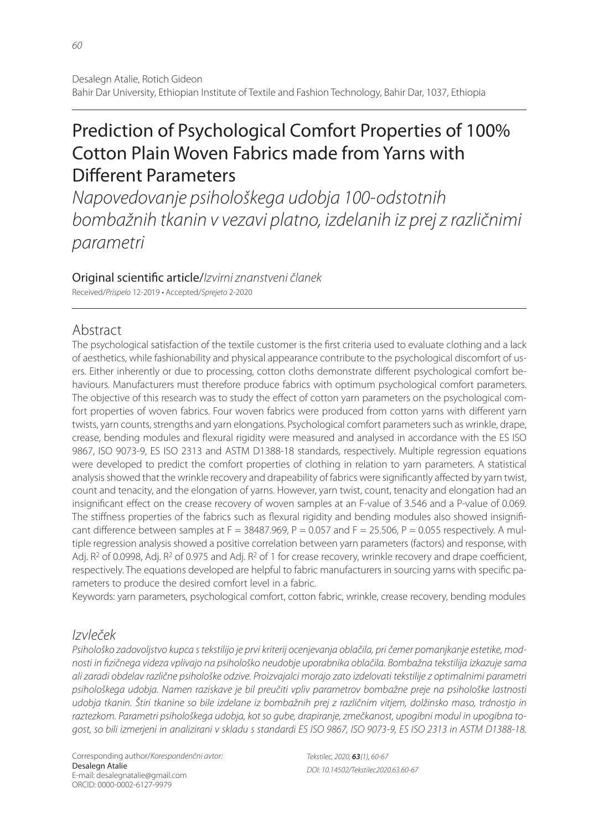# Prediction of Psychological Comfort Properties of 100% Cotton Plain Woven Fabrics made from Yarns with Different Parameters

Napovedovanje psihološkega udobja 100-odstotnih bombažnih tkanin v vezavi platno, izdelanih iz prej z različnimi parametri

Original scientific article/Izvirni znanstveni članek Received/Prispelo 12-2019 • Accepted/Sprejeto 2-2020

# Abstract

The psychological satisfaction of the textile customer is the first criteria used to evaluate clothing and a lack of aesthetics, while fashionability and physical appearance contribute to the psychological discomfort of users. Either inherently or due to processing, cotton cloths demonstrate different psychological comfort behaviours. Manufacturers must therefore produce fabrics with optimum psychological comfort parameters. The objective of this research was to study the effect of cotton yarn parameters on the psychological comfort properties of woven fabrics. Four woven fabrics were produced from cotton yarns with different yarn twists, yarn counts, strengths and yarn elongations. Psychological comfort parameters such as wrinkle, drape, crease, bending modules and flexural rigidity were measured and analysed in accordance with the ES ISO 9867, ISO 9073-9, ES ISO 2313 and ASTM D1388-18 standards, respectively. Multiple regression equations were developed to predict the comfort properties of clothing in relation to yarn parameters. A statistical analysis showed that the wrinkle recovery and drapeability of fabrics were significantly affected by yarn twist, count and tenacity, and the elongation of yarns. However, yarn twist, count, tenacity and elongation had an insignificant effect on the crease recovery of woven samples at an F-value of 3.546 and a P-value of 0.069. The stiffness properties of the fabrics such as flexural rigidity and bending modules also showed insignificant difference between samples at F = 38487.969, P = 0.057 and F = 25.506, P = 0.055 respectively. A multiple regression analysis showed a positive correlation between yarn parameters (factors) and response, with Adj.  $R^2$  of 0.0998, Adj.  $R^2$  of 0.975 and Adj.  $R^2$  of 1 for crease recovery, wrinkle recovery and drape coefficient, respectively. The equations developed are helpful to fabric manufacturers in sourcing yarns with specific parameters to produce the desired comfort level in a fabric.

Keywords: yarn parameters, psychological comfort, cotton fabric, wrinkle, crease recovery, bending modules

# Izvleček

Psihološko zadovoljstvo kupca s tekstilijo je prvi kriterij ocenjevanja oblačila, pri čemer pomanjkanje estetike, modnosti in fizičnega videza vplivajo na psihološko neudobje uporabnika oblačila. Bombažna tekstilija izkazuje sama ali zaradi obdelav različne psihološke odzive. Proizvajalci morajo zato izdelovati tekstilije z optimalnimi parametri psihološkega udobja. Namen raziskave je bil preučiti vpliv parametrov bombažne preje na psihološke lastnosti udobja tkanin. Štiri tkanine so bile izdelane iz bombažnih prej z različnim vitjem, dolžinsko maso, trdnostjo in raztezkom. Parametri psihološkega udobja, kot so gube, drapiranje, zmečkanost, upogibni modul in upogibna togost, so bili izmerjeni in analizirani v skladu s standardi ES ISO 9867, ISO 9073-9, ES ISO 2313 in ASTM D1388-18.

Corresponding author/Korespondenčni avtor: Desalegn Atalie E-mail: desalegnatalie@gmail.com ORCID: 0000-0002-6127-9979

Tekstilec, 2020, *63*(1), 60-67 DOI: 10.14502/Tekstilec2020.63.60-67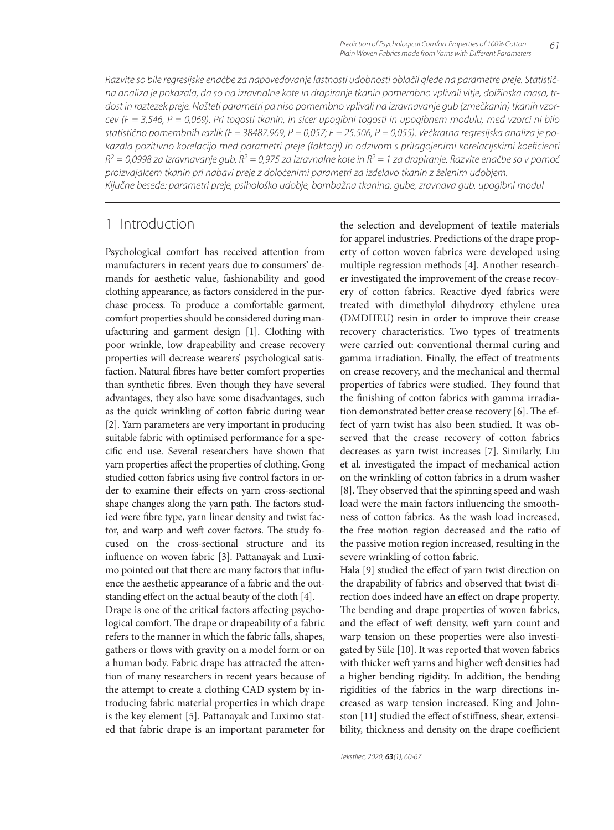Razvite so bile regresijske enačbe za napovedovanje lastnosti udobnosti oblačil glede na parametre preje. Statistična analiza je pokazala, da so na izravnalne kote in drapiranje tkanin pomembno vplivali vitje, dolžinska masa, trdost in raztezek preje. Našteti parametri pa niso pomembno vplivali na izravnavanje gub (zmečkanin) tkanih vzorcev (F = 3,546, P = 0,069). Pri togosti tkanin, in sicer upogibni togosti in upogibnem modulu, med vzorci ni bilo statistično pomembnih razlik (F = 38487.969, P = 0,057; F = 25.506, P = 0,055). Večkratna regresijska analiza je pokazala pozitivno korelacijo med parametri preje (faktorji) in odzivom s prilagojenimi korelacijskimi koeficienti  $R^2 = 0.0998$  za izravnavanje gub,  $R^2 = 0.975$  za izravnalne kote in  $R^2 = 1$  za drapiranje. Razvite enačbe so v pomoč proizvajalcem tkanin pri nabavi preje z določenimi parametri za izdelavo tkanin z želenim udobjem. Ključne besede: parametri preje, psihološko udobje, bombažna tkanina, gube, zravnava gub, upogibni modul

## 1 Introduction

Psychological comfort has received attention from manufacturers in recent years due to consumers' demands for aesthetic value, fashionability and good clothing appearance, as factors considered in the purchase process. To produce a comfortable garment, comfort properties should be considered during manufacturing and garment design [1]. Clothing with poor wrinkle, low drapeability and crease recovery properties will decrease wearers' psychological satisfaction. Natural fibres have better comfort properties than synthetic fibres. Even though they have several advantages, they also have some disadvantages, such as the quick wrinkling of cotton fabric during wear [2]. Yarn parameters are very important in producing suitable fabric with optimised performance for a specific end use. Several researchers have shown that yarn properties affect the properties of clothing. Gong studied cotton fabrics using five control factors in order to examine their effects on yarn cross-sectional shape changes along the yarn path. The factors studied were fibre type, yarn linear density and twist factor, and warp and weft cover factors. The study focused on the cross-sectional structure and its influence on woven fabric [3]. Pattanayak and Luximo pointed out that there are many factors that influence the aesthetic appearance of a fabric and the outstanding effect on the actual beauty of the cloth [4]. Drape is one of the critical factors affecting psychological comfort. The drape or drapeability of a fabric refers to the manner in which the fabric falls, shapes, gathers or flows with gravity on a model form or on a human body. Fabric drape has attracted the attention of many researchers in recent years because of the attempt to create a clothing CAD system by introducing fabric material properties in which drape is the key element [5]. Pattanayak and Luximo stat-

ed that fabric drape is an important parameter for

the selection and development of textile materials for apparel industries. Predictions of the drape property of cotton woven fabrics were developed using multiple regression methods [4]. Another researcher investigated the improvement of the crease recovery of cotton fabrics. Reactive dyed fabrics were treated with dimethylol dihydroxy ethylene urea (DMDHEU) resin in order to improve their crease recovery characteristics. Two types of treatments were carried out: conventional thermal curing and gamma irradiation. Finally, the effect of treatments on crease recovery, and the mechanical and thermal properties of fabrics were studied. They found that the finishing of cotton fabrics with gamma irradiation demonstrated better crease recovery [6]. The effect of yarn twist has also been studied. It was observed that the crease recovery of cotton fabrics decreases as yarn twist increases [7]. Similarly, Liu et al. investigated the impact of mechanical action on the wrinkling of cotton fabrics in a drum washer [8]. They observed that the spinning speed and wash load were the main factors influencing the smoothness of cotton fabrics. As the wash load increased, the free motion region decreased and the ratio of the passive motion region increased, resulting in the severe wrinkling of cotton fabric.

Hala [9] studied the effect of yarn twist direction on the drapability of fabrics and observed that twist direction does indeed have an effect on drape property. The bending and drape properties of woven fabrics, and the effect of weft density, weft yarn count and warp tension on these properties were also investigated by Süle [10]. It was reported that woven fabrics with thicker weft yarns and higher weft densities had a higher bending rigidity. In addition, the bending rigidities of the fabrics in the warp directions increased as warp tension increased. King and Johnston [11] studied the effect of stiffness, shear, extensibility, thickness and density on the drape coefficient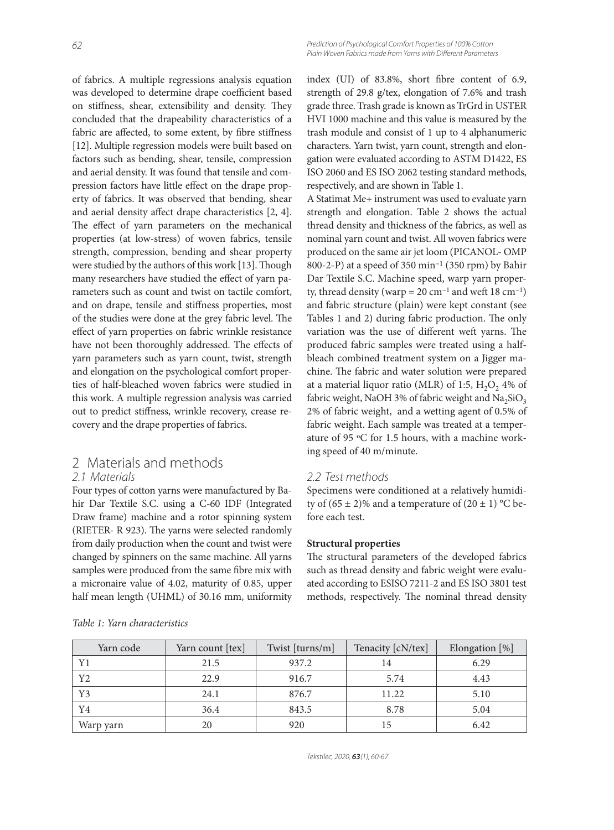of fabrics. A multiple regressions analysis equation was developed to determine drape coefficient based on stiffness, shear, extensibility and density. They concluded that the drapeability characteristics of a fabric are affected, to some extent, by fibre stiffness [12]. Multiple regression models were built based on factors such as bending, shear, tensile, compression and aerial density. It was found that tensile and compression factors have little effect on the drape property of fabrics. It was observed that bending, shear and aerial density affect drape characteristics [2, 4]. The effect of yarn parameters on the mechanical properties (at low-stress) of woven fabrics, tensile strength, compression, bending and shear property were studied by the authors of this work [13]. Though many researchers have studied the effect of yarn parameters such as count and twist on tactile comfort, and on drape, tensile and stiffness properties, most of the studies were done at the grey fabric level. The effect of yarn properties on fabric wrinkle resistance have not been thoroughly addressed. The effects of yarn parameters such as yarn count, twist, strength and elongation on the psychological comfort properties of half-bleached woven fabrics were studied in this work. A multiple regression analysis was carried out to predict stiffness, wrinkle recovery, crease recovery and the drape properties of fabrics.

# 2 Materials and methods

### 2.1 Materials

Four types of cotton yarns were manufactured by Bahir Dar Textile S.C. using a C-60 IDF (Integrated Draw frame) machine and a rotor spinning system (RIETER- R 923). The yarns were selected randomly from daily production when the count and twist were changed by spinners on the same machine. All yarns samples were produced from the same fibre mix with a micronaire value of 4.02, maturity of 0.85, upper half mean length (UHML) of 30.16 mm, uniformity index  $(UI)$  of 83.8%, short fibre content of 6.9, strength of 29.8 g/tex, elongation of 7.6% and trash grade three. Trash grade is known as TrGrd in USTER HVI 1000 machine and this value is measured by the trash module and consist of 1 up to 4 alphanumeric characters. Yarn twist, yarn count, strength and elongation were evaluated according to ASTM D1422, ES ISO 2060 and ES ISO 2062 testing standard methods, respectively, and are shown in Table 1.

A Statimat Me+ instrument was used to evaluate yarn strength and elongation. Table 2 shows the actual thread density and thickness of the fabrics, as well as nominal yarn count and twist. All woven fabrics were produced on the same air jet loom (PICANOL- OMP 800-2-P) at a speed of 350  $\text{min}^{-1}$  (350 rpm) by Bahir Dar Textile S.C. Machine speed, warp yarn property, thread density (warp =  $20 \text{ cm}^{-1}$  and weft 18 cm<sup>-1</sup>) and fabric structure (plain) were kept constant (see Tables 1 and 2) during fabric production. The only variation was the use of different weft yarns. The produced fabric samples were treated using a halfbleach combined treatment system on a Jigger machine. The fabric and water solution were prepared at a material liquor ratio (MLR) of 1:5,  $H_2O_2$  4% of fabric weight, NaOH 3% of fabric weight and  $Na<sub>2</sub>SiO<sub>3</sub>$ 2% of fabric weight, and a wetting agent of 0.5% of fabric weight. Each sample was treated at a temperature of 95 ºC for 1.5 hours, with a machine working speed of 40 m/minute.

### 2.2 Test methods

Specimens were conditioned at a relatively humidity of  $(65 \pm 2)\%$  and a temperature of  $(20 \pm 1)$  °C before each test.

#### **Structural properties**

The structural parameters of the developed fabrics such as thread density and fabric weight were evaluated according to ESISO 7211-2 and ES ISO 3801 test methods, respectively. The nominal thread density

| Yarn code | Yarn count [tex] | Twist [turns/m] | Tenacity [cN/tex] | Elongation [%] |
|-----------|------------------|-----------------|-------------------|----------------|
| Y1        | 21.5             | 937.2           | 14                | 6.29           |
| Y2        | 22.9             | 916.7           | 5.74              | 4.43           |
| Y3        | 24.1             | 876.7           | 11.22             | 5.10           |
| Y4        | 36.4             | 843.5           | 8.78              | 5.04           |
| Warp yarn | 20               | 920             |                   | 6.42           |

*Table 1: Yarn characteristics*

Tekstilec, 2020, *63*(1), 60-67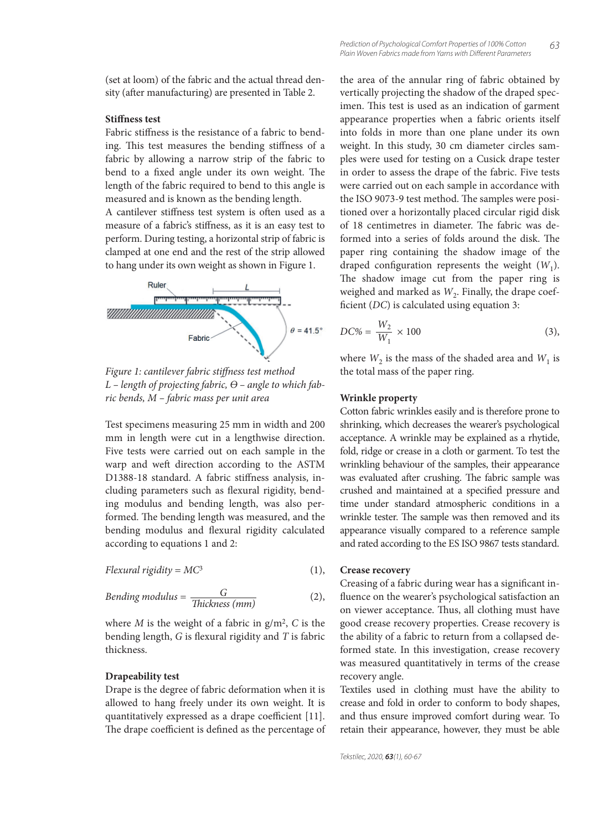(set at loom) of the fabric and the actual thread density (after manufacturing) are presented in Table 2.

#### **Stiffness test**

Fabric stiffness is the resistance of a fabric to bending. This test measures the bending stiffness of a fabric by allowing a narrow strip of the fabric to bend to a fixed angle under its own weight. The length of the fabric required to bend to this angle is measured and is known as the bending length.

A cantilever stiffness test system is often used as a measure of a fabric's stiffness, as it is an easy test to perform. During testing, a horizontal strip of fabric is clamped at one end and the rest of the strip allowed to hang under its own weight as shown in Figure 1.



Figure 1: cantilever fabric stiffness test method *L – length of projecting fabric, Ѳ – angle to which fabric bends, M – fabric mass per unit area*

Test specimens measuring 25 mm in width and 200 mm in length were cut in a lengthwise direction. Five tests were carried out on each sample in the warp and weft direction according to the ASTM D1388-18 standard. A fabric stiffness analysis, including parameters such as flexural rigidity, bending modulus and bending length, was also performed. The bending length was measured, and the bending modulus and flexural rigidity calculated according to equations 1 and 2:

$$
Flexural rigidity = MC^3
$$
 (1),

Bending modulus = 
$$
\frac{G}{\text{Thickness (mm)}}
$$
 (2),

where *M* is the weight of a fabric in  $g/m^2$ , *C* is the bending length, *G* is flexural rigidity and *T* is fabric thickness.

#### **Drapeability test**

Drape is the degree of fabric deformation when it is allowed to hang freely under its own weight. It is quantitatively expressed as a drape coefficient [11]. The drape coefficient is defined as the percentage of the area of the annular ring of fabric obtained by vertically projecting the shadow of the draped specimen. This test is used as an indication of garment appearance properties when a fabric orients itself into folds in more than one plane under its own weight. In this study, 30 cm diameter circles samples were used for testing on a Cusick drape tester in order to assess the drape of the fabric. Five tests were carried out on each sample in accordance with the ISO 9073-9 test method. The samples were positioned over a horizontally placed circular rigid disk of 18 centimetres in diameter. The fabric was deformed into a series of folds around the disk. The paper ring containing the shadow image of the draped configuration represents the weight  $(W_1)$ . The shadow image cut from the paper ring is weighed and marked as  $W_2$ . Finally, the drape coefficient (*DC*) is calculated using equation 3:

$$
DC\% = \frac{W_2}{W_1} \times 100\tag{3}
$$

where  $W_2$  is the mass of the shaded area and  $W_1$  is the total mass of the paper ring.

#### **Wrinkle property**

Cotton fabric wrinkles easily and is therefore prone to shrinking, which decreases the wearer's psychological acceptance. A wrinkle may be explained as a rhytide, fold, ridge or crease in a cloth or garment. To test the wrinkling behaviour of the samples, their appearance was evaluated after crushing. The fabric sample was crushed and maintained at a specified pressure and time under standard atmospheric conditions in a wrinkle tester. The sample was then removed and its appearance visually compared to a reference sample and rated according to the ES ISO 9867 tests standard.

#### **Crease recovery**

Creasing of a fabric during wear has a significant influence on the wearer's psychological satisfaction an on viewer acceptance. Thus, all clothing must have good crease recovery properties. Crease recovery is the ability of a fabric to return from a collapsed deformed state. In this investigation, crease recovery was measured quantitatively in terms of the crease recovery angle.

Textiles used in clothing must have the ability to crease and fold in order to conform to body shapes, and thus ensure improved comfort during wear. To retain their appearance, however, they must be able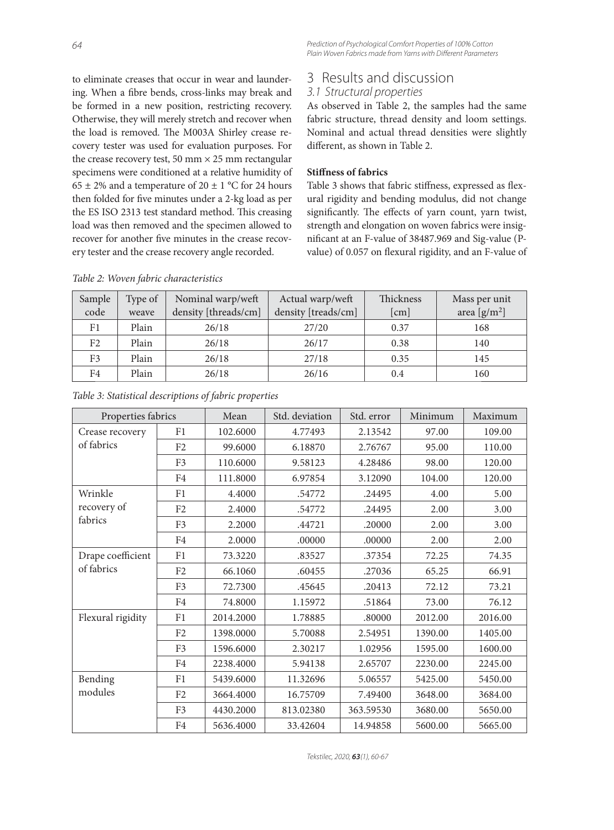to eliminate creases that occur in wear and laundering. When a fibre bends, cross-links may break and be formed in a new position, restricting recovery. Otherwise, they will merely stretch and recover when the load is removed. The M003A Shirley crease recovery tester was used for evaluation purposes. For the crease recovery test, 50 mm  $\times$  25 mm rectangular specimens were conditioned at a relative humidity of 65  $\pm$  2% and a temperature of 20  $\pm$  1 °C for 24 hours then folded for five minutes under a 2-kg load as per the ES ISO 2313 test standard method. This creasing load was then removed and the specimen allowed to recover for another five minutes in the crease recovery tester and the crease recovery angle recorded.

# 3 Results and discussion

### 3.1 Structural properties

As observed in Table 2, the samples had the same fabric structure, thread density and loom settings. Nominal and actual thread densities were slightly different, as shown in Table 2.

#### **Stiffness of fabrics**

Table 3 shows that fabric stiffness, expressed as flexural rigidity and bending modulus, did not change significantly. The effects of yarn count, yarn twist, strength and elongation on woven fabrics were insignificant at an F-value of 38487.969 and Sig-value (Pvalue) of 0.057 on flexural rigidity, and an F-value of

| Sample<br>code | Type of<br>weave | Nominal warp/weft<br>density [threads/cm] | Actual warp/weft<br>density [treads/cm] | Thickness<br>[cm] | Mass per unit<br>area $[g/m^2]$ |
|----------------|------------------|-------------------------------------------|-----------------------------------------|-------------------|---------------------------------|
|                |                  |                                           |                                         |                   |                                 |
| F1             | Plain            | 26/18                                     | 27/20                                   | 0.37              | 168                             |
| F <sub>2</sub> | Plain            | 26/18                                     | 26/17                                   | 0.38              | 140                             |
| F <sub>3</sub> | Plain            | 26/18                                     | 27/18                                   | 0.35              | 145                             |
| F4             | Plain            | 26/18                                     | 26/16                                   | 0.4               | 160                             |

*Table 2: Woven fabric characteristics*

| Properties fabrics              |                | Mean      | Std. deviation | Std. error | Minimum | Maximum |
|---------------------------------|----------------|-----------|----------------|------------|---------|---------|
| Crease recovery<br>of fabrics   | F1             | 102.6000  | 4.77493        | 2.13542    | 97.00   | 109.00  |
|                                 | F <sub>2</sub> | 99.6000   | 6.18870        | 2.76767    | 95.00   | 110.00  |
|                                 | F <sub>3</sub> | 110.6000  | 9.58123        | 4.28486    | 98.00   | 120.00  |
|                                 | F <sub>4</sub> | 111.8000  | 6.97854        | 3.12090    | 104.00  | 120.00  |
| Wrinkle                         | F1             | 4.4000    | .54772         | .24495     | 4.00    | 5.00    |
| recovery of                     | F <sub>2</sub> | 2.4000    | .54772         | .24495     | 2.00    | 3.00    |
| fabrics                         | F <sub>3</sub> | 2.2000    | .44721         | .20000     | 2.00    | 3.00    |
|                                 | F <sub>4</sub> | 2.0000    | .00000         | .00000     | 2.00    | 2.00    |
| Drape coefficient<br>of fabrics | F1             | 73.3220   | .83527         | .37354     | 72.25   | 74.35   |
|                                 | F2             | 66.1060   | .60455         | .27036     | 65.25   | 66.91   |
|                                 | F <sub>3</sub> | 72.7300   | .45645         | .20413     | 72.12   | 73.21   |
|                                 | F <sub>4</sub> | 74.8000   | 1.15972        | .51864     | 73.00   | 76.12   |
| Flexural rigidity               | F1             | 2014.2000 | 1.78885        | .80000     | 2012.00 | 2016.00 |
|                                 | F <sub>2</sub> | 1398.0000 | 5.70088        | 2.54951    | 1390.00 | 1405.00 |
|                                 | F <sub>3</sub> | 1596.6000 | 2.30217        | 1.02956    | 1595.00 | 1600.00 |
|                                 | F4             | 2238.4000 | 5.94138        | 2.65707    | 2230.00 | 2245.00 |
| Bending<br>modules              | F1             | 5439.6000 | 11.32696       | 5.06557    | 5425.00 | 5450.00 |
|                                 | F <sub>2</sub> | 3664.4000 | 16.75709       | 7.49400    | 3648.00 | 3684.00 |
|                                 | F <sub>3</sub> | 4430.2000 | 813.02380      | 363.59530  | 3680.00 | 5650.00 |
|                                 | F <sub>4</sub> | 5636.4000 | 33.42604       | 14.94858   | 5600.00 | 5665.00 |

*Table 3: Statistical descriptions of fabric properties*

Tekstilec, 2020, *63*(1), 60-67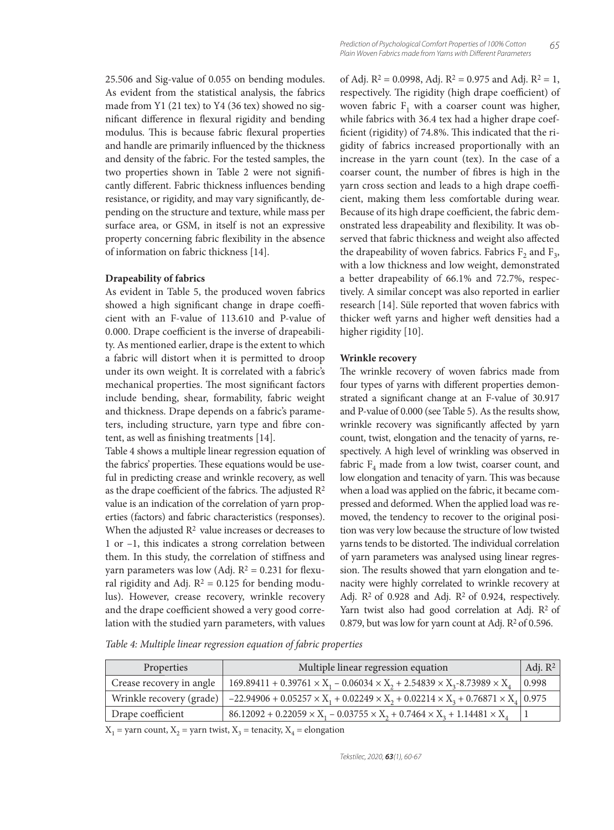25.506 and Sig-value of 0.055 on bending modules. As evident from the statistical analysis, the fabrics made from Y1 (21 tex) to Y4 (36 tex) showed no significant difference in flexural rigidity and bending modulus. This is because fabric flexural properties and handle are primarily influenced by the thickness and density of the fabric. For the tested samples, the two properties shown in Table 2 were not significantly different. Fabric thickness influences bending resistance, or rigidity, and may vary significantly, depending on the structure and texture, while mass per surface area, or GSM, in itself is not an expressive property concerning fabric flexibility in the absence of information on fabric thickness [14].

#### **Drapeability of fabrics**

As evident in Table 5, the produced woven fabrics showed a high significant change in drape coefficient with an F-value of 113.610 and P-value of 0.000. Drape coefficient is the inverse of drapeability. As mentioned earlier, drape is the extent to which a fabric will distort when it is permitted to droop under its own weight. It is correlated with a fabric's mechanical properties. The most significant factors include bending, shear, formability, fabric weight and thickness. Drape depends on a fabric's parameters, including structure, yarn type and fibre content, as well as finishing treatments [14].

Table 4 shows a multiple linear regression equation of the fabrics' properties. These equations would be useful in predicting crease and wrinkle recovery, as well as the drape coefficient of the fabrics. The adjusted  $\mathbb{R}^2$ value is an indication of the correlation of yarn properties (factors) and fabric characteristics (responses). When the adjusted  $\mathbb{R}^2$  value increases or decreases to 1 or –1, this indicates a strong correlation between them. In this study, the correlation of stiffness and yarn parameters was low (Adj.  $R^2 = 0.231$  for flexural rigidity and Adj.  $R^2 = 0.125$  for bending modulus). However, crease recovery, wrinkle recovery and the drape coefficient showed a very good correlation with the studied yarn parameters, with values

of Adj.  $R^2 = 0.0998$ , Adj.  $R^2 = 0.975$  and Adj.  $R^2 = 1$ , respectively. The rigidity (high drape coefficient) of woven fabric  $F_1$  with a coarser count was higher, while fabrics with 36.4 tex had a higher drape coefficient (rigidity) of 74.8%. This indicated that the rigidity of fabrics increased proportionally with an increase in the yarn count (tex). In the case of a coarser count, the number of fibres is high in the yarn cross section and leads to a high drape coefficient, making them less comfortable during wear. Because of its high drape coefficient, the fabric demonstrated less drapeability and flexibility. It was observed that fabric thickness and weight also affected the drapeability of woven fabrics. Fabrics  $F_2$  and  $F_3$ , with a low thickness and low weight, demonstrated a better drapeability of 66.1% and 72.7%, respectively. A similar concept was also reported in earlier research [14]. Süle reported that woven fabrics with thicker weft yarns and higher weft densities had a higher rigidity [10].

#### **Wrinkle recovery**

The wrinkle recovery of woven fabrics made from four types of yarns with different properties demonstrated a significant change at an F-value of 30.917 and P-value of 0.000 (see Table 5). As the results show, wrinkle recovery was significantly affected by yarn count, twist, elongation and the tenacity of yarns, respectively. A high level of wrinkling was observed in fabric  $F_4$  made from a low twist, coarser count, and low elongation and tenacity of yarn. This was because when a load was applied on the fabric, it became compressed and deformed. When the applied load was removed, the tendency to recover to the original position was very low because the structure of low twisted yarns tends to be distorted. The individual correlation of yarn parameters was analysed using linear regression. The results showed that yarn elongation and tenacity were highly correlated to wrinkle recovery at Adj.  $R^2$  of 0.928 and Adj.  $R^2$  of 0.924, respectively. Yarn twist also had good correlation at Adj.  $\mathbb{R}^2$  of 0.879, but was low for yarn count at Adj.  $R^2$  of 0.596.

*Table 4: Multiple linear regression equation of fabric properties* 

| Properties               | Multiple linear regression equation                                                                        | Adj. $R^2$ |
|--------------------------|------------------------------------------------------------------------------------------------------------|------------|
| Crease recovery in angle | $169.89411 + 0.39761 \times X_1 - 0.06034 \times X_2 + 2.54839 \times X_3 - 8.73989 \times X_4$            | 0.998      |
| Wrinkle recovery (grade) | $-22.94906 + 0.05257 \times X_1 + 0.02249 \times X_2 + 0.02214 \times X_3 + 0.76871 \times X_4 \mid 0.975$ |            |
| Drape coefficient        | $86.12092 + 0.22059 \times X_1 - 0.03755 \times X_2 + 0.7464 \times X_3 + 1.14481 \times X_4$              |            |

 $X_1$  = yarn count,  $X_2$  = yarn twist,  $X_3$  = tenacity,  $X_4$  = elongation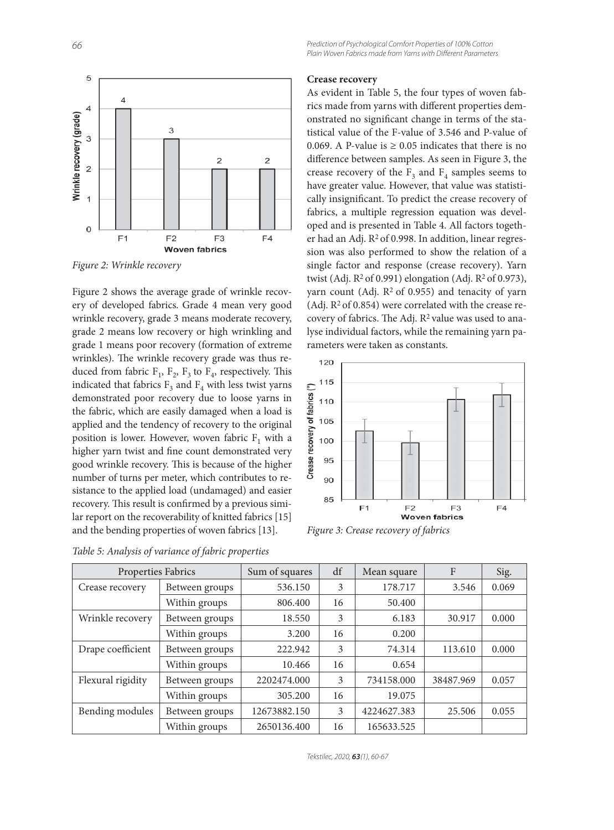

*Figure 2: Wrinkle recovery*

Figure 2 shows the average grade of wrinkle recovery of developed fabrics. Grade 4 mean very good wrinkle recovery, grade 3 means moderate recovery, grade 2 means low recovery or high wrinkling and grade 1 means poor recovery (formation of extreme wrinkles). The wrinkle recovery grade was thus reduced from fabric  $F_1$ ,  $F_2$ ,  $F_3$  to  $F_4$ , respectively. This indicated that fabrics  $F_3$  and  $F_4$  with less twist yarns demonstrated poor recovery due to loose yarns in the fabric, which are easily damaged when a load is applied and the tendency of recovery to the original position is lower. However, woven fabric  $F_1$  with a higher yarn twist and fine count demonstrated very good wrinkle recovery. This is because of the higher number of turns per meter, which contributes to resistance to the applied load (undamaged) and easier recovery. This result is confirmed by a previous similar report on the recoverability of knitted fabrics [15] and the bending properties of woven fabrics [13].

*Table 5: Analysis of variance of fabric properties*

#### **Crease recovery**

As evident in Table 5, the four types of woven fabrics made from yarns with different properties demonstrated no significant change in terms of the statistical value of the F-value of 3.546 and P-value of 0.069. A P-value is  $\geq$  0.05 indicates that there is no difference between samples. As seen in Figure 3, the crease recovery of the  $F_3$  and  $F_4$  samples seems to have greater value. However, that value was statistically insignificant. To predict the crease recovery of fabrics, a multiple regression equation was developed and is presented in Table 4. All factors together had an Adj.  $R^2$  of 0.998. In addition, linear regression was also performed to show the relation of a single factor and response (crease recovery). Yarn twist (Adj.  $R^2$  of 0.991) elongation (Adj.  $R^2$  of 0.973), yarn count (Adj.  $R^2$  of 0.955) and tenacity of yarn (Adj.  $R^2$  of 0.854) were correlated with the crease recovery of fabrics. The Adj.  $R^2$  value was used to analyse individual factors, while the remaining yarn parameters were taken as constants.



*Figure 3: Crease recovery of fabrics*

| Properties Fabrics     |                | Sum of squares | df | Mean square | $\mathbf{F}$ | Sig.  |
|------------------------|----------------|----------------|----|-------------|--------------|-------|
| Crease recovery        | Between groups | 536.150        | 3  | 178.717     | 3.546        | 0.069 |
|                        | Within groups  | 806.400        | 16 | 50.400      |              |       |
| Wrinkle recovery       | Between groups | 18.550         | 3  | 6.183       | 30.917       | 0.000 |
|                        | Within groups  | 3.200          | 16 | 0.200       |              |       |
| Drape coefficient      | Between groups | 222.942        | 3  | 74.314      | 113.610      | 0.000 |
|                        | Within groups  | 10.466         | 16 | 0.654       |              |       |
| Flexural rigidity      | Between groups | 2202474.000    | 3  | 734158.000  | 38487.969    | 0.057 |
|                        | Within groups  | 305.200        | 16 | 19.075      |              |       |
| <b>Bending modules</b> | Between groups | 12673882.150   | 3  | 4224627.383 | 25.506       | 0.055 |
|                        | Within groups  | 2650136.400    | 16 | 165633.525  |              |       |

Tekstilec, 2020, *63*(1), 60-67